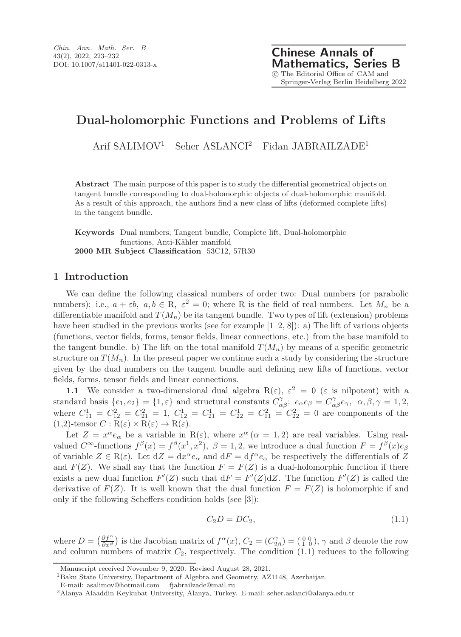# Dual-holomorphic Functions and Problems of Lifts

Arif SALIMOV<sup>1</sup> Seher ASLANCI<sup>2</sup> Fidan JABRAILZADE<sup>1</sup>

Abstract The main purpose of this paper is to study the differential geometrical objects on tangent bundle corresponding to dual-holomorphic objects of dual-holomorphic manifold. As a result of this approach, the authors find a new class of lifts (deformed complete lifts) in the tangent bundle.

Keywords Dual numbers, Tangent bundle, Complete lift, Dual-holomorphic functions, Anti-Kähler manifold 2000 MR Subject Classification 53C12, 57R30

## 1 Introduction

We can define the following classical numbers of order two: Dual numbers (or parabolic numbers): i.e.,  $a + \varepsilon b$ ,  $a, b \in \mathbb{R}$ ,  $\varepsilon^2 = 0$ ; where R is the field of real numbers. Let  $M_n$  be a differentiable manifold and  $T(M_n)$  be its tangent bundle. Two types of lift (extension) problems have been studied in the previous works (see for example  $[1-2, 8]$ ): a) The lift of various objects (functions, vector fields, forms, tensor fields, linear connections, etc.) from the base manifold to the tangent bundle. b) The lift on the total manifold  $T(M_n)$  by means of a specific geometric structure on  $T(M_n)$ . In the present paper we continue such a study by considering the structure given by the dual numbers on the tangent bundle and defining new lifts of functions, vector fields, forms, tensor fields and linear connections.

1.1 We consider a two-dimensional dual algebra  $R(\varepsilon)$ ,  $\varepsilon^2 = 0$  ( $\varepsilon$  is nilpotent) with a standard basis  $\{e_1, e_2\} = \{1, \varepsilon\}$  and structural constants  $C_{\alpha\beta}^{\gamma}$ :  $e_{\alpha}e_{\beta} = C_{\alpha\beta}^{\gamma}e_{\gamma}$ ,  $\alpha, \beta, \gamma = 1, 2,$ where  $C_{11}^1 = C_{12}^2 = C_{21}^2 = 1$ ,  $C_{12}^1 = C_{21}^1 = C_{22}^1 = C_{11}^2 = C_{22}^2 = 0$  are components of the  $(1,2)$ -tensor  $C: R(\varepsilon) \times R(\varepsilon) \to R(\varepsilon)$ .

Let  $Z = x^{\alpha} e_{\alpha}$  be a variable in  $R(\varepsilon)$ , where  $x^{\alpha}$  ( $\alpha = 1, 2$ ) are real variables. Using realvalued  $C^{\infty}$ -functions  $f^{\beta}(x) = f^{\beta}(x^1, x^2)$ ,  $\beta = 1, 2$ , we introduce a dual function  $F = f^{\beta}(x)e_{\beta}$ of variable  $Z \in \mathcal{R}(\varepsilon)$ . Let  $dZ = dx^{\alpha} e_{\alpha}$  and  $dF = df^{\alpha} e_{\alpha}$  be respectively the differentials of Z and  $F(Z)$ . We shall say that the function  $F = F(Z)$  is a dual-holomorphic function if there exists a new dual function  $F'(Z)$  such that  $dF = F'(Z)dZ$ . The function  $F'(Z)$  is called the derivative of  $F(Z)$ . It is well known that the dual function  $F = F(Z)$  is holomorphic if and only if the following Scheffers condition holds (see [3]):

$$
C_2D = DC_2,\t\t(1.1)
$$

where  $D = \left(\frac{\partial f^{\alpha}}{\partial x^{\beta}}\right)$  is the Jacobian matrix of  $f^{\alpha}(x)$ ,  $C_2 = \left(C_{2\beta}^{\gamma}\right) = \left(\begin{smallmatrix} 0 & 0 \\ 1 & 0 \end{smallmatrix}\right)$ ,  $\gamma$  and  $\beta$  denote the row and column numbers of matrix  $C_2$ , respectively. The condition  $(1.1)$  reduces to the following

Manuscript received November 9, 2020. Revised August 28, 2021.

<sup>1</sup>Baku State University, Department of Algebra and Geometry, AZ1148, Azerbaijan.

E-mail: asalimov@hotmail.com fjabrailzade@mail.ru

<sup>2</sup>Alanya Alaaddin Keykubat University, Alanya, Turkey. E-mail: seher.aslanci@alanya.edu.tr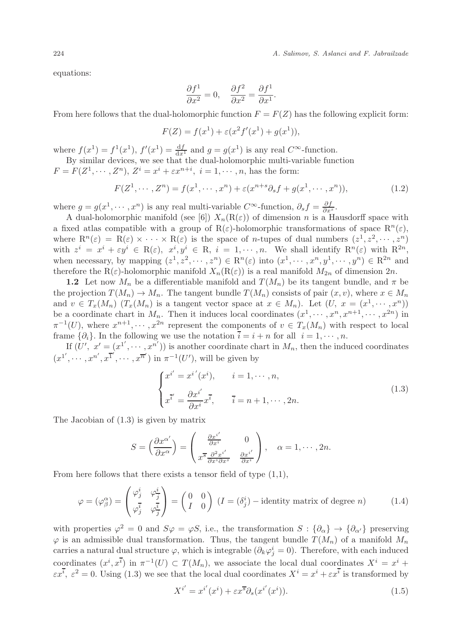equations:

$$
\frac{\partial f^1}{\partial x^2} = 0, \quad \frac{\partial f^2}{\partial x^2} = \frac{\partial f^1}{\partial x^1}.
$$

From here follows that the dual-holomorphic function  $F = F(Z)$  has the following explicit form:

$$
F(Z) = f(x^{1}) + \varepsilon (x^{2} f'(x^{1}) + g(x^{1})),
$$

where  $f(x^1) = f^1(x^1)$ ,  $f'(x^1) = \frac{df}{dx^1}$  and  $g = g(x^1)$  is any real  $C^{\infty}$ -function.

By similar devices, we see that the dual-holomorphic multi-variable function  $F = F(Z^1, \dots, Z^n)$ ,  $Z^i = x^i + \varepsilon x^{n+i}$ ,  $i = 1, \dots, n$ , has the form:

$$
F(Z^1, \cdots, Z^n) = f(x^1, \cdots, x^n) + \varepsilon (x^{n+s} \partial_s f + g(x^1, \cdots, x^n)),
$$
\n(1.2)

where  $g = g(x^1, \dots, x^n)$  is any real multi-variable  $C^{\infty}$ -function,  $\partial_s f = \frac{\partial f}{\partial x^s}$ .

A dual-holomorphic manifold (see [6])  $X_n(R(\varepsilon))$  of dimension n is a Hausdorff space with a fixed atlas compatible with a group of  $R(\varepsilon)$ -holomorphic transformations of space  $R^n(\varepsilon)$ , where  $\mathbb{R}^n(\varepsilon) = \mathbb{R}(\varepsilon) \times \cdots \times \mathbb{R}(\varepsilon)$  is the space of *n*-tupes of dual numbers  $(z^1, z^2, \dots, z^n)$ with  $z^i = x^i + \varepsilon y^i \in R(\varepsilon)$ ,  $x^i, y^i \in R$ ,  $i = 1, \dots, n$ . We shall identify  $R^n(\varepsilon)$  with  $R^{2n}$ , when necessary, by mapping  $(z^1, z^2, \dots, z^n) \in \mathbb{R}^n(\varepsilon)$  into  $(x^1, \dots, x^n, y^1, \dots, y^n) \in \mathbb{R}^{2n}$  and therefore the R( $\varepsilon$ )-holomorphic manifold  $X_n(R(\varepsilon))$  is a real manifold  $M_{2n}$  of dimension  $2n$ .

1.2 Let now  $M_n$  be a differentiable manifold and  $T(M_n)$  be its tangent bundle, and  $\pi$  be the projection  $T(M_n) \to M_n$ . The tangent bundle  $T(M_n)$  consists of pair  $(x, v)$ , where  $x \in M_n$ and  $v \in T_x(M_n)$   $(T_x(M_n)$  is a tangent vector space at  $x \in M_n$ ). Let  $(U, x = (x^1, \dots, x^n))$ be a coordinate chart in  $M_n$ . Then it induces local coordinates  $(x^1, \dots, x^n, x^{n+1}, \dots, x^{2n})$  in  $\pi^{-1}(U)$ , where  $x^{n+1}, \dots, x^{2n}$  represent the components of  $v \in T_x(M_n)$  with respect to local frame  $\{\partial_i\}$ . In the following we use the notation  $\bar{i} = i + n$  for all  $i = 1, \dots, n$ .

If  $(U', x' = (x^{1'}, \dots, x^{n'})$  is another coordinate chart in  $M_n$ , then the induced coordinates  $(x^{1'}, \dots, x^{n'}, x^{\overline{1'}}, \dots, x^{\overline{n'}})$  in  $\pi^{-1}(U')$ , will be given by

$$
\begin{cases}\nx^{i'} = x^{i'}(x^i), & i = 1, \dots, n, \\
x^{\overline{i'}} = \frac{\partial x^{i'}}{\partial x^i} x^{\overline{i}}, & \overline{i} = n+1, \dots, 2n.\n\end{cases}
$$
\n(1.3)

The Jacobian of (1.3) is given by matrix

$$
S = \left(\frac{\partial x^{\alpha'}}{\partial x^{\alpha}}\right) = \begin{pmatrix} \frac{\partial x^{i'}}{\partial x^{i}} & 0\\ x^{\overline{s}} \frac{\partial^{2} x^{i'}}{\partial x^{i} \partial x^{s}} & \frac{\partial x^{i'}}{\partial x^{i}} \end{pmatrix}, \quad \alpha = 1, \cdots, 2n.
$$

From here follows that there exists a tensor field of type  $(1,1)$ ,

$$
\varphi = (\varphi_{\beta}^{\alpha}) = \begin{pmatrix} \varphi_{j}^{i} & \varphi_{j}^{i} \\ \varphi_{j}^{\overline{i}} & \varphi_{j}^{\overline{i}} \end{pmatrix} = \begin{pmatrix} 0 & 0 \\ I & 0 \end{pmatrix} (I = (\delta_{j}^{i}) - \text{identity matrix of degree } n)
$$
(1.4)

with properties  $\varphi^2 = 0$  and  $S\varphi = \varphi S$ , i.e., the transformation  $S : {\partial_{\alpha}} \to {\partial_{\alpha'}}$  preserving  $\varphi$  is an admissible dual transformation. Thus, the tangent bundle  $T(M_n)$  of a manifold  $M_n$ carries a natural dual structure  $\varphi$ , which is integrable  $(\partial_k \varphi_j^i = 0)$ . Therefore, with each induced coordinates  $(x^i, x^{\overline{i}})$  in  $\pi^{-1}(U) \subset T(M_n)$ , we associate the local dual coordinates  $X^i = x^i +$  $\varepsilon x^i$ ,  $\varepsilon^2 = 0$ . Using (1.3) we see that the local dual coordinates  $X^i = x^i + \varepsilon x^i$  is transformed by

$$
X^{i'} = x^{i'}(x^i) + \varepsilon x^{\overline{s}} \partial_s(x^{i'}(x^i)).
$$
\n(1.5)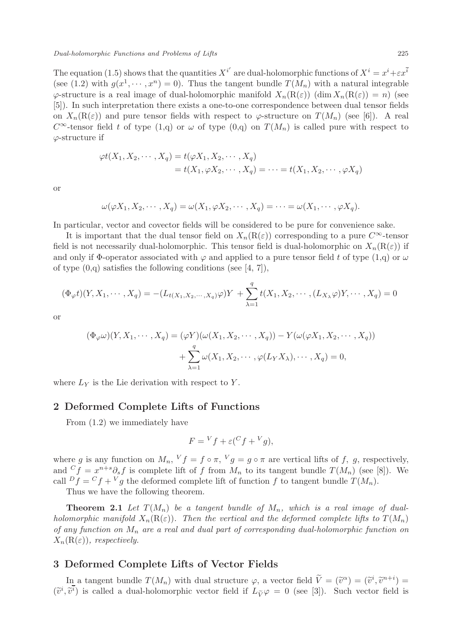The equation (1.5) shows that the quantities  $X^{i'}$  are dual-holomorphic functions of  $X^i = x^i + \varepsilon x^{\overline{i}}$ (see (1.2) with  $g(x^1, \dots, x^n) = 0$ ). Thus the tangent bundle  $T(M_n)$  with a natural integrable  $\varphi$ -structure is a real image of dual-holomorphic manifold  $X_n(R(\varepsilon))$  (dim  $X_n(R(\varepsilon)) = n$ ) (see [5]). In such interpretation there exists a one-to-one correspondence between dual tensor fields on  $X_n(\mathcal{R}(\varepsilon))$  and pure tensor fields with respect to  $\varphi$ -structure on  $T(M_n)$  (see [6]). A real  $C^{\infty}$ -tensor field t of type  $(1,q)$  or  $\omega$  of type  $(0,q)$  on  $T(M_n)$  is called pure with respect to  $\varphi$ -structure if

$$
\varphi t(X_1, X_2, \cdots, X_q) = t(\varphi X_1, X_2, \cdots, X_q)
$$
  
=  $t(X_1, \varphi X_2, \cdots, X_q) = \cdots = t(X_1, X_2, \cdots, \varphi X_q)$ 

or

$$
\omega(\varphi X_1, X_2, \cdots, X_q) = \omega(X_1, \varphi X_2, \cdots, X_q) = \cdots = \omega(X_1, \cdots, \varphi X_q).
$$

In particular, vector and covector fields will be considered to be pure for convenience sake.

It is important that the dual tensor field on  $X_n(\mathcal{R}(\varepsilon))$  corresponding to a pure  $C^{\infty}$ -tensor field is not necessarily dual-holomorphic. This tensor field is dual-holomorphic on  $X_n(\mathbf{R}(\varepsilon))$  if and only if  $\Phi$ -operator associated with  $\varphi$  and applied to a pure tensor field t of type  $(1,q)$  or  $\omega$ of type  $(0,q)$  satisfies the following conditions (see [4, 7]),

$$
(\Phi_{\varphi}t)(Y, X_1, \cdots, X_q) = -(L_{t(X_1, X_2, \cdots, X_q)}\varphi)Y + \sum_{\lambda=1}^q t(X_1, X_2, \cdots, (L_{X_{\lambda}}\varphi)Y, \cdots, X_q) = 0
$$

or

$$
(\Phi_{\varphi}\omega)(Y, X_1, \cdots, X_q) = (\varphi Y)(\omega(X_1, X_2, \cdots, X_q)) - Y(\omega(\varphi X_1, X_2, \cdots, X_q))
$$

$$
+ \sum_{\lambda=1}^q \omega(X_1, X_2, \cdots, \varphi(L_Y X_\lambda), \cdots, X_q) = 0,
$$

where  $L_Y$  is the Lie derivation with respect to Y.

## 2 Deformed Complete Lifts of Functions

From (1.2) we immediately have

$$
F = {}^{V}f + \varepsilon ({}^{C}f + {}^{V}g),
$$

where g is any function on  $M_n$ ,  $V_f = f \circ \pi$ ,  $V_g = g \circ \pi$  are vertical lifts of f, g, respectively, and  $C_f = x^{n+s} \partial_s f$  is complete lift of f from  $M_n$  to its tangent bundle  $T(M_n)$  (see [8]). We call  $Df = Cf + Vg$  the deformed complete lift of function f to tangent bundle  $T(M_n)$ .

Thus we have the following theorem.

**Theorem 2.1** Let  $T(M_n)$  be a tangent bundle of  $M_n$ , which is a real image of dualholomorphic manifold  $X_n(R(\varepsilon))$ . Then the vertical and the deformed complete lifts to  $T(M_n)$ of any function on  $M_n$  are a real and dual part of corresponding dual-holomorphic function on  $X_n(R(\varepsilon))$ , respectively.

## 3 Deformed Complete Lifts of Vector Fields

In a tangent bundle  $T(M_n)$  with dual structure  $\varphi$ , a vector field  $\tilde{V} = (\tilde{v}^{\alpha}) = (\tilde{v}^i, \tilde{v}^{n+i}) =$  $(\tilde{v}^i, \tilde{v}^i)$  is called a dual-holomorphic vector field if  $L_{\tilde{V}}\varphi = 0$  (see [3]). Such vector field is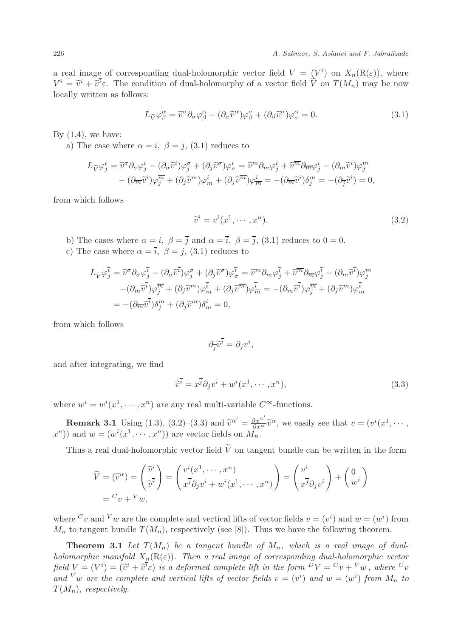a real image of corresponding dual-holomorphic vector field  $V = (V^i)$  on  $X_n(R(\varepsilon))$ , where  $V^i = \tilde{v}^i + \tilde{v}^i \varepsilon$ . The condition of dual-holomorphy of a vector field V on  $T(M_n)$  may be now locally written as follows:

$$
L_{\widetilde{V}}\varphi_{\beta}^{\alpha} = \widetilde{v}^{\sigma}\partial_{\sigma}\varphi_{\beta}^{\alpha} - (\partial_{\sigma}\widetilde{v}^{\alpha})\varphi_{\beta}^{\sigma} + (\partial_{\beta}\widetilde{v}^{\sigma})\varphi_{\sigma}^{\alpha} = 0.
$$
\n(3.1)

By  $(1.4)$ , we have:

a) The case where  $\alpha = i$ ,  $\beta = j$ , (3.1) reduces to

$$
L_{\widetilde{V}}\varphi_j^i = \widetilde{v}^\sigma \partial_\sigma \varphi_j^i - (\partial_\sigma \widetilde{v}^i)\varphi_j^\sigma + (\partial_j \widetilde{v}^\sigma)\varphi_\sigma^i = \widetilde{v}^m \partial_m \varphi_j^i + \widetilde{v}^{\overline{m}} \partial_{\overline{m}} \varphi_j^i - (\partial_m \widetilde{v}^i)\varphi_j^m - (\partial_{\overline{m}} \widetilde{v}^i)\varphi_j^{\overline{m}} + (\partial_j \widetilde{v}^m)\varphi_m^i + (\partial_j \widetilde{v}^{\overline{m}})\varphi_{\overline{m}}^i = -(\partial_{\overline{m}} \widetilde{v}^i)\delta_j^m = -(\partial_{\overline{j}} \widetilde{v}^i) = 0,
$$

from which follows

$$
\widetilde{v}^i = v^i(x^1, \cdots, x^n). \tag{3.2}
$$

- b) The cases where  $\alpha = i$ ,  $\beta = \overline{j}$  and  $\alpha = \overline{i}$ ,  $\beta = \overline{j}$ , (3.1) reduces to  $0 = 0$ .
- c) The case where  $\alpha = \overline{i}$ ,  $\beta = j$ , (3.1) reduces to

$$
L_{\widetilde{V}}\varphi_{j}^{\overline{i}} = \widetilde{v}^{\sigma}\partial_{\sigma}\varphi_{j}^{\overline{i}} - (\partial_{\sigma}\widetilde{v}^{\overline{i}})\varphi_{j}^{\sigma} + (\partial_{j}\widetilde{v}^{\sigma})\varphi_{\sigma}^{\overline{i}} = \widetilde{v}^{m}\partial_{m}\varphi_{j}^{\overline{i}} + \widetilde{v}^{\overline{m}}\partial_{\overline{m}}\varphi_{j}^{\overline{i}} - (\partial_{m}\widetilde{v}^{\overline{i}})\varphi_{j}^{m} - (\partial_{\overline{m}}\widetilde{v}^{\overline{i}})\varphi_{j}^{\overline{m}} + (\partial_{j}\widetilde{v}^{m})\varphi_{m}^{\overline{i}} + (\partial_{j}\widetilde{v}^{\overline{m}})\varphi_{\overline{m}}^{\overline{i}} = -(\partial_{\overline{m}}\widetilde{v}^{\overline{i}})\varphi_{j}^{\overline{m}} + (\partial_{j}\widetilde{v}^{m})\varphi_{m}^{\overline{i}}
$$
  

$$
= -(\partial_{\overline{m}}\widetilde{v}^{\overline{i}})\delta_{j}^{m} + (\partial_{j}\widetilde{v}^{m})\delta_{m}^{i} = 0,
$$

from which follows

$$
\partial_{\overline{j}}\widetilde{v}^{\overline{i}}=\partial_jv^i,
$$

and after integrating, we find

$$
\widetilde{v}^{\overline{i}} = x^{\overline{j}} \partial_j v^i + w^i (x^1, \cdots, x^n), \tag{3.3}
$$

where  $w^i = w^i(x^1, \dots, x^n)$  are any real multi-variable  $C^{\infty}$ -functions.

**Remark 3.1** Using  $(1.3)$ ,  $(3.2)$ – $(3.3)$  and  $\tilde{v}^{\alpha'} = \frac{\partial x^{\alpha'}}{\partial x^{\alpha}} \tilde{v}^{\alpha}$ , we easily see that  $v = (v^{i}(x^{1}, \dots, x^{i})^{i})$  $(x^n)$  and  $w = (w^i(x^1, \dots, x^n))$  are vector fields on  $M_n$ .

Thus a real dual-holomorphic vector field  $\tilde{V}$  on tangent bundle can be written in the form

$$
\widetilde{V} = (\widetilde{v}^{\alpha}) = \begin{pmatrix} \widetilde{v}^{i} \\ \widetilde{v}^{\overline{i}} \end{pmatrix} = \begin{pmatrix} v^{i}(x^{1}, \cdots, x^{n}) \\ x^{\overline{j}} \partial_{j} v^{i} + w^{i}(x^{1}, \cdots, x^{n}) \end{pmatrix} = \begin{pmatrix} v^{i} \\ x^{\overline{j}} \partial_{j} v^{i} \end{pmatrix} + \begin{pmatrix} 0 \\ w^{i} \end{pmatrix}
$$

$$
= {^{C}}v + {^{V}}w,
$$

where  $^C v$  and  $^V w$  are the complete and vertical lifts of vector fields  $v = (v^i)$  and  $w = (w^i)$  from  $M_n$  to tangent bundle  $T(M_n)$ , respectively (see [8]). Thus we have the following theorem.

**Theorem 3.1** Let  $T(M_n)$  be a tangent bundle of  $M_n$ , which is a real image of dualholomorphic manifold  $X_n(R(\varepsilon))$ . Then a real image of corresponding dual-holomorphic vector field  $V = (V^i) = (\tilde{v}^i + \tilde{v}^i \varepsilon)$  is a deformed complete lift in the form  $\overline{v}^D V = {}^C v + {}^V w$ , where  ${}^C v$ and <sup>V</sup>w are the complete and vertical lifts of vector fields  $v = (v^i)$  and  $w = (w^i)$  from  $M_n$  to  $T(M_n)$ , respectively.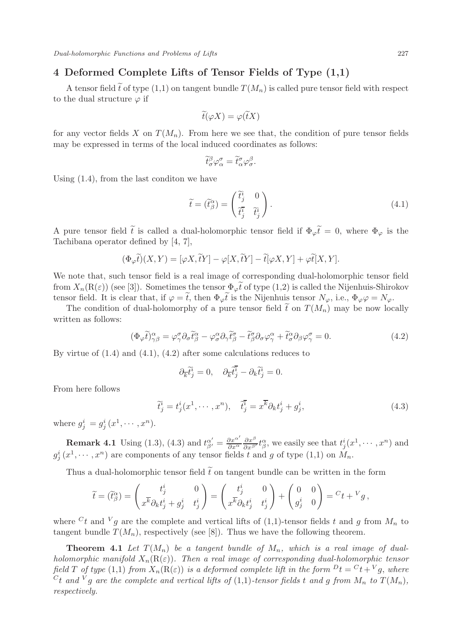## 4 Deformed Complete Lifts of Tensor Fields of Type (1,1)

A tensor field  $\tilde{t}$  of type (1,1) on tangent bundle  $T(M_n)$  is called pure tensor field with respect to the dual structure  $\varphi$  if

$$
\widetilde{t}(\varphi X) = \varphi(\widetilde{t}X)
$$

for any vector fields X on  $T(M_n)$ . From here we see that, the condition of pure tensor fields may be expressed in terms of the local induced coordinates as follows:

$$
\widetilde{t}^\beta_\sigma \varphi^\sigma_\alpha = \widetilde{t}^\sigma_\alpha \varphi^\beta_\sigma.
$$

Using (1.4), from the last conditon we have

$$
\widetilde{t} = (\widetilde{t}_{\beta}^{\alpha}) = \begin{pmatrix} \widetilde{t}_{j}^{i} & 0 \\ \widetilde{t}_{j}^{\overline{i}} & \widetilde{t}_{j}^{i} \end{pmatrix}.
$$
\n(4.1)

A pure tensor field t is called a dual-holomorphic tensor field if  $\Phi_{\varphi}t = 0$ , where  $\Phi_{\varphi}$  is the Tachibana operator defined by [4, 7],

$$
(\Phi_{\varphi}\widetilde{t})(X,Y) = [\varphi X, \widetilde{t}Y] - \varphi[X, \widetilde{t}Y] - \widetilde{t}[\varphi X, Y] + \varphi \widetilde{t}[X, Y].
$$

We note that, such tensor field is a real image of corresponding dual-holomorphic tensor field from  $X_n(\mathcal{R}(\varepsilon))$  (see [3]). Sometimes the tensor  $\Phi_{\varphi}t$  of type (1,2) is called the Nijenhuis-Shirokov tensor field. It is clear that, if  $\varphi = t$ , then  $\Phi_{\varphi}t$  is the Nijenhuis tensor  $N_{\varphi}$ , i.e.,  $\Phi_{\varphi}\varphi = N_{\varphi}$ .

The condition of dual-holomorphy of a pure tensor field  $\tilde{t}$  on  $T(M_n)$  may be now locally written as follows:

$$
(\Phi_{\varphi}\tilde{t})^{\alpha}_{\gamma\beta} = \varphi^{\sigma}_{\gamma}\partial_{\sigma}\tilde{t}^{\alpha}_{\beta} - \varphi^{\alpha}_{\sigma}\partial_{\gamma}\tilde{t}^{\sigma}_{\beta} - \tilde{t}^{\sigma}_{\beta}\partial_{\sigma}\varphi^{\alpha}_{\gamma} + \tilde{t}^{\alpha}_{\sigma}\partial_{\beta}\varphi^{\sigma}_{\gamma} = 0.
$$
\n(4.2)

By virtue of  $(1.4)$  and  $(4.1)$ ,  $(4.2)$  after some calculations reduces to

$$
\partial_{\overline{k}}\tilde{t}^{\tilde{i}}_j=0,\quad \partial_{\overline{k}}\tilde{t}^{\overline{i}}_j-\partial_k\tilde{t}^{\tilde{i}}_j=0.
$$

From here follows

$$
\tilde{t}_j^i = t_j^i(x^1, \cdots, x^n), \quad \tilde{t}_j^{\overline{i}} = x^{\overline{k}} \partial_k t_j^i + g_j^i,
$$
\n(4.3)

where  $g_j^i = g_j^i(x^1, \dots, x^n)$ .

**Remark 4.1** Using (1.3), (4.3) and  $t_{\beta'}^{\alpha'} = \frac{\partial x^{\alpha'}}{\partial x^{\alpha}} \frac{\partial x^{\beta}}{\partial x^{\beta'}} t_{\beta}^{\alpha}$ , we easily see that  $t_j^i(x^1, \dots, x^n)$  and  $g_j^i(x^1, \dots, x^n)$  are components of any tensor fields t and g of type  $(1,1)$  on  $M_n$ .

Thus a dual-holomorphic tensor field  $\tilde{t}$  on tangent bundle can be written in the form

$$
\widetilde{t} = (\widetilde{t}_{\beta}^{\alpha}) = \begin{pmatrix} t_{j}^{i} & 0 \\ x^{\overline{k}} \partial_{k} t_{j}^{i} + g_{j}^{i} & t_{j}^{i} \end{pmatrix} = \begin{pmatrix} t_{j}^{i} & 0 \\ x^{\overline{k}} \partial_{k} t_{j}^{i} & t_{j}^{i} \end{pmatrix} + \begin{pmatrix} 0 & 0 \\ g_{j}^{i} & 0 \end{pmatrix} = {}^{C}t + {}^{V}g,
$$

where  $C_t$  and  $V_g$  are the complete and vertical lifts of (1,1)-tensor fields t and g from  $M_n$  to tangent bundle  $T(M_n)$ , respectively (see [8]). Thus we have the following theorem.

**Theorem 4.1** Let  $T(M_n)$  be a tangent bundle of  $M_n$ , which is a real image of dualholomorphic manifold  $X_n(\mathcal{R}(\varepsilon))$ . Then a real image of corresponding dual-holomorphic tensor field T of type (1,1) from  $X_n(\mathcal{R}(\varepsilon))$  is a deformed complete lift in the form  $D_t = {}^C t + {}^V g$ , where  $C_t$  and  $V_g$  are the complete and vertical lifts of (1,1)-tensor fields t and g from  $M_n$  to  $T(M_n)$ , respectively.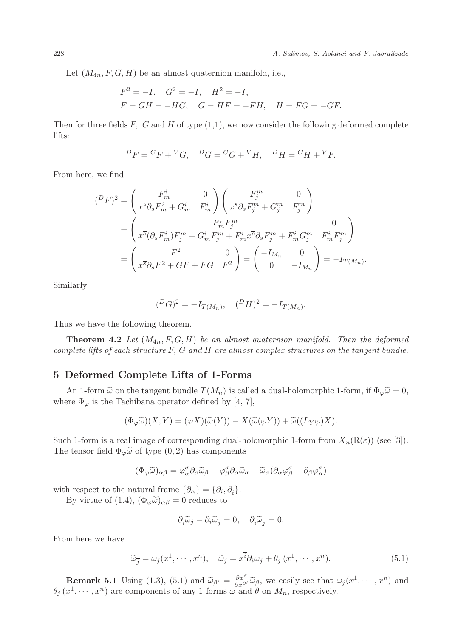Let  $(M_{4n}, F, G, H)$  be an almost quaternion manifold, i.e.,

$$
F^2 = -I
$$
,  $G^2 = -I$ ,  $H^2 = -I$ ,  
\n $F = GH = -HG$ ,  $G = HF = -FH$ ,  $H = FG = -GF$ .

Then for three fields  $F$ ,  $G$  and  $H$  of type  $(1,1)$ , we now consider the following deformed complete lifts:

$$
{}^{D}F = {}^{C}F + {}^{V}G, \quad {}^{D}G = {}^{C}G + {}^{V}H, \quad {}^{D}H = {}^{C}H + {}^{V}F.
$$

From here, we find

$$
(^{D}F)^{2} = \begin{pmatrix} F_{m}^{i} & 0 \\ x^{\overline{s}} \partial_{s} F_{m}^{i} + G_{m}^{i} & F_{m}^{i} \end{pmatrix} \begin{pmatrix} F_{j}^{m} & 0 \\ x^{\overline{s}} \partial_{s} F_{j}^{m} + G_{j}^{m} & F_{j}^{m} \end{pmatrix}
$$
  
= 
$$
\begin{pmatrix} F_{m}^{i} F_{j}^{m} & 0 \\ x^{\overline{s}} (\partial_{s} F_{m}^{i}) F_{j}^{m} + G_{m}^{i} F_{j}^{m} + F_{m}^{i} x^{\overline{s}} \partial_{s} F_{j}^{m} + F_{m}^{i} G_{j}^{m} & F_{m}^{i} F_{j}^{m} \end{pmatrix}
$$
  
= 
$$
\begin{pmatrix} F^{2} & 0 \\ x^{\overline{s}} \partial_{s} F^{2} + G F + FG & F^{2} \end{pmatrix} = \begin{pmatrix} -I_{M_{n}} & 0 \\ 0 & -I_{M_{n}} \end{pmatrix} = -I_{T(M_{n})}.
$$

Similarly

$$
({}^{D}G)^{2} = -I_{T(M_{n})}, \quad ({}^{D}H)^{2} = -I_{T(M_{n})}.
$$

Thus we have the following theorem.

**Theorem 4.2** Let  $(M_{4n}, F, G, H)$  be an almost quaternion manifold. Then the deformed complete lifts of each structure F, G and H are almost complex structures on the tangent bundle.

## 5 Deformed Complete Lifts of 1-Forms

An 1-form  $\tilde{\omega}$  on the tangent bundle  $T(M_n)$  is called a dual-holomorphic 1-form, if  $\Phi_{\varphi}\tilde{\omega}=0$ , where  $\Phi_{\varphi}$  is the Tachibana operator defined by [4, 7],

$$
(\Phi_{\varphi}\widetilde{\omega})(X,Y) = (\varphi X)(\widetilde{\omega}(Y)) - X(\widetilde{\omega}(\varphi Y)) + \widetilde{\omega}((L_Y\varphi)X).
$$

Such 1-form is a real image of corresponding dual-holomorphic 1-form from  $X_n(R(\varepsilon))$  (see [3]). The tensor field  $\Phi_{\varphi}\tilde{\omega}$  of type  $(0, 2)$  has components

$$
(\Phi_{\varphi}\widetilde{\omega})_{\alpha\beta} = \varphi_{\alpha}^{\sigma}\partial_{\sigma}\widetilde{\omega}_{\beta} - \varphi_{\beta}^{\sigma}\partial_{\alpha}\widetilde{\omega}_{\sigma} - \widetilde{\omega}_{\sigma}(\partial_{\alpha}\varphi_{\beta}^{\sigma} - \partial_{\beta}\varphi_{\alpha}^{\sigma})
$$

with respect to the natural frame  $\{\partial_{\alpha}\} = \{\partial_i, \partial_{\overline{i}}\}.$ 

By virtue of (1.4),  $(\Phi_{\varphi}\tilde{\omega})_{\alpha\beta} = 0$  reduces to

$$
\partial_{\tilde{i}}\tilde{\omega}_j - \partial_i \tilde{\omega}_{\overline{j}} = 0, \quad \partial_{\tilde{i}}\tilde{\omega}_{\overline{j}} = 0.
$$

From here we have

$$
\widetilde{\omega}_{\overline{j}} = \omega_j(x^1, \cdots, x^n), \quad \widetilde{\omega}_j = x^{\overline{i}} \partial_i \omega_j + \theta_j(x^1, \cdots, x^n). \tag{5.1}
$$

**Remark 5.1** Using (1.3), (5.1) and  $\widetilde{\omega}_{\beta'} = \frac{\partial x^{\beta}}{\partial x^{\beta'}} \widetilde{\omega}_{\beta}$ , we easily see that  $\omega_j(x^1, \dots, x^n)$  and  $\theta_j(x^1, \dots, x^n)$  are components of any 1-forms  $\omega$  and  $\theta$  on  $M_n$ , respectively.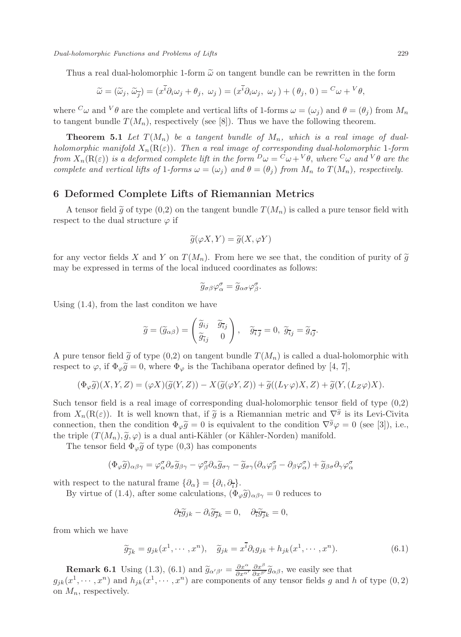Thus a real dual-holomorphic 1-form  $\tilde{\omega}$  on tangent bundle can be rewritten in the form

$$
\widetilde{\omega} = (\widetilde{\omega}_j, \widetilde{\omega}_{\overline{j}}) = (x^{\overline{i}} \partial_i \omega_j + \theta_j, \ \omega_j) = (x^{\overline{i}} \partial_i \omega_j, \ \omega_j) + (\theta_j, \ 0) = {^C \omega} + {^V \theta},
$$

where  ${}^{C}\omega$  and  ${}^{V}\theta$  are the complete and vertical lifts of 1-forms  $\omega = (\omega_j)$  and  $\theta = (\theta_j)$  from  $M_n$ to tangent bundle  $T(M_n)$ , respectively (see [8]). Thus we have the following theorem.

**Theorem 5.1** Let  $T(M_n)$  be a tangent bundle of  $M_n$ , which is a real image of dualholomorphic manifold  $X_n(\mathbf{R}(\varepsilon))$ . Then a real image of corresponding dual-holomorphic 1-form from  $X_n(\text{R}(\varepsilon))$  is a deformed complete lift in the form  ${}^D\omega = {}^C\omega + {}^V\theta$ , where  ${}^C\omega$  and  ${}^V\theta$  are the complete and vertical lifts of 1-forms  $\omega = (\omega_j)$  and  $\theta = (\theta_j)$  from  $M_n$  to  $T(M_n)$ , respectively.

#### 6 Deformed Complete Lifts of Riemannian Metrics

A tensor field  $\tilde{g}$  of type (0,2) on the tangent bundle  $T(M_n)$  is called a pure tensor field with respect to the dual structure  $\varphi$  if

$$
\widetilde{g}(\varphi X, Y) = \widetilde{g}(X, \varphi Y)
$$

for any vector fields X and Y on  $T(M_n)$ . From here we see that, the condition of purity of  $\tilde{g}$ may be expressed in terms of the local induced coordinates as follows:

$$
\widetilde{g}_{\sigma\beta}\varphi_{\alpha}^{\sigma}=\widetilde{g}_{\alpha\sigma}\varphi_{\beta}^{\sigma}.
$$

Using (1.4), from the last conditon we have

$$
\widetilde{g} = (\widetilde{g}_{\alpha\beta}) = \begin{pmatrix} \widetilde{g}_{ij} & \widetilde{g}_{\overline{i}j} \\ \widetilde{g}_{\overline{i}j} & 0 \end{pmatrix}, \quad \widetilde{g}_{\overline{i}\overline{j}} = 0, \ \widetilde{g}_{\overline{i}j} = \widetilde{g}_{i\overline{j}}.
$$

A pure tensor field  $\tilde{q}$  of type (0,2) on tangent bundle  $T(M_n)$  is called a dual-holomorphic with respect to  $\varphi$ , if  $\Phi_{\varphi} \tilde{g} = 0$ , where  $\Phi_{\varphi}$  is the Tachibana operator defined by [4, 7],

$$
(\Phi_{\varphi}\widetilde{g})(X,Y,Z)=(\varphi X)(\widetilde{g}(Y,Z))-X(\widetilde{g}(\varphi Y,Z))+\widetilde{g}((L_Y\varphi)X,Z)+\widetilde{g}(Y,(L_Z\varphi)X).
$$

Such tensor field is a real image of corresponding dual-holomorphic tensor field of type (0,2) from  $X_n(R(\varepsilon))$ . It is well known that, if  $\tilde{g}$  is a Riemannian metric and  $\nabla^{\tilde{g}}$  is its Levi-Civita connection, then the condition  $\Phi_{\varphi} \tilde{g} = 0$  is equivalent to the condition  $\nabla^{\tilde{g}} \varphi = 0$  (see [3]), i.e., the triple  $(T(M_n), \tilde{g}, \varphi)$  is a dual anti-Kähler (or Kähler-Norden) manifold.

The tensor field  $\Phi_{\varphi} \tilde{g}$  of type (0,3) has components

$$
(\Phi_{\varphi}\widetilde{g})_{\alpha\beta\gamma} = \varphi^{\sigma}_{\alpha}\partial_{\sigma}\widetilde{g}_{\beta\gamma} - \varphi^{\sigma}_{\beta}\partial_{\alpha}\widetilde{g}_{\sigma\gamma} - \widetilde{g}_{\sigma\gamma}(\partial_{\alpha}\varphi^{\sigma}_{\beta} - \partial_{\beta}\varphi^{\sigma}_{\alpha}) + \widetilde{g}_{\beta\sigma}\partial_{\gamma}\varphi^{\sigma}_{\alpha}
$$

with respect to the natural frame  $\{\partial_{\alpha}\} = \{\partial_i, \partial_{\overline{i}}\}.$ 

By virtue of (1.4), after some calculations,  $(\Phi_{\varphi}\tilde{g})_{\alpha\beta\gamma}=0$  reduces to

$$
\partial_{\tilde{i}} \tilde{g}_{jk} - \partial_i \tilde{g}_{\overline{j}k} = 0, \quad \partial_{\tilde{i}} \tilde{g}_{\overline{j}k} = 0,
$$

from which we have

$$
\widetilde{g}_{\overline{j}k} = g_{jk}(x^1, \cdots, x^n), \quad \widetilde{g}_{jk} = x^{\overline{i}} \partial_i g_{jk} + h_{jk}(x^1, \cdots, x^n). \tag{6.1}
$$

**Remark 6.1** Using (1.3), (6.1) and  $\tilde{g}_{\alpha'\beta'} = \frac{\partial x^{\alpha}}{\partial x^{\alpha'}} \frac{\partial x^{\beta}}{\partial x^{\beta'}} \tilde{g}_{\alpha\beta}$ , we easily see that  $g_{jk}(x^1, \dots, x^n)$  and  $h_{jk}(x^1, \dots, x^n)$  are components of any tensor fields g and h of type (0, 2)

on  $M_n$ , respectively.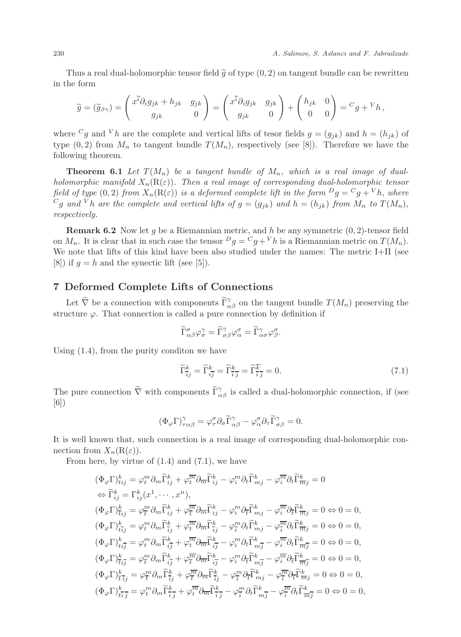Thus a real dual-holomorphic tensor field  $\tilde{g}$  of type  $(0, 2)$  on tangent bundle can be rewritten in the form

$$
\widetilde{g} = (\widetilde{g}_{\beta\gamma}) = \begin{pmatrix} x^{\overline{i}} \partial_i g_{jk} + h_{jk} & g_{jk} \\ g_{jk} & 0 \end{pmatrix} = \begin{pmatrix} x^{\overline{i}} \partial_i g_{jk} & g_{jk} \\ g_{jk} & 0 \end{pmatrix} + \begin{pmatrix} h_{jk} & 0 \\ 0 & 0 \end{pmatrix} = {}^C g + {}^V h,
$$

where <sup>C</sup>g and <sup>V</sup>h are the complete and vertical lifts of tesor fields  $g = (g_{jk})$  and  $h = (h_{jk})$  of type  $(0, 2)$  from  $M_n$  to tangent bundle  $T(M_n)$ , respectively (see [8]). Therefore we have the following theorem.

**Theorem 6.1** Let  $T(M_n)$  be a tangent bundle of  $M_n$ , which is a real image of dualholomorphic manifold  $X_n(\mathbf{R}(\varepsilon))$ . Then a real image of corresponding dual-holomorphic tensor field of type (0, 2) from  $X_n(R(\varepsilon))$  is a deformed complete lift in the form  $\mathcal{D}g = \mathcal{C}g + Vh$ , where  $^Cg$  and  $^Vh$  are the complete and vertical lifts of  $g = (g_{ik})$  and  $h = (h_{ik})$  from  $M_n$  to  $T(M_n)$ , respectively.

**Remark 6.2** Now let g be a Riemannian metric, and h be any symmetric  $(0, 2)$ -tensor field on  $M_n$ . It is clear that in such case the tensor  $D_q = {}^C q + {}^V h$  is a Riemannian metric on  $T(M_n)$ . We note that lifts of this kind have been also studied under the names: The metric I+II (see [8]) if  $g = h$  and the synectic lift (see [5]).

## 7 Deformed Complete Lifts of Connections

Let  $\tilde{\nabla}$  be a connection with components  $\tilde{\Gamma}^{\gamma}_{\alpha\beta}$  on the tangent bundle  $T(M_n)$  preserving the structure  $\varphi$ . That connection is called a pure connection by definition if

$$
\widetilde{\Gamma}_{\alpha\beta}^{\sigma}\varphi_{\sigma}^{\gamma}=\widetilde{\Gamma}_{\sigma\beta}^{\gamma}\varphi_{\alpha}^{\sigma}=\widetilde{\Gamma}_{\alpha\sigma}^{\gamma}\varphi_{\beta}^{\sigma}.
$$

Using (1.4), from the purity conditon we have

$$
\widetilde{\Gamma}_{\overline{i}j}^k = \widetilde{\Gamma}_{i\overline{j}}^k = \widetilde{\Gamma}_{\overline{i}\overline{j}}^k = \widetilde{\Gamma}_{\overline{i}\overline{j}}^{\overline{k}} = 0.
$$
\n(7.1)

The pure connection  $\tilde{\nabla}$  with components  $\tilde{\Gamma}^{\gamma}_{\alpha\beta}$  is called a dual-holomorphic connection, if (see [6])

$$
(\Phi_{\varphi} \Gamma)^\gamma_{\tau\alpha\beta} = \varphi_\tau^\sigma \partial_\sigma \widetilde{\Gamma}^\gamma_{\alpha\beta} - \varphi_\alpha^\sigma \partial_\tau \widetilde{\Gamma}^\gamma_{\sigma\beta} = 0.
$$

It is well known that, such connection is a real image of corresponding dual-holomorphic connection from  $X_n(\mathcal{R}(\varepsilon))$ .

From here, by virtue of  $(1.4)$  and  $(7.1)$ , we have

$$
\begin{split}\n&(\Phi_{\varphi}\Gamma)^k_{tij} = \varphi^m_t \partial_m \widetilde{\Gamma}^k_{tj} + \varphi^{\overline{m}}_t \partial_{\overline{m}} \widetilde{\Gamma}^k_{tj} - \varphi^m_i \partial_t \widetilde{\Gamma}^k_{mj} - \varphi^{\overline{m}}_t \partial_t \widetilde{\Gamma}^k_{\overline{m}j} = 0 \\
&\Leftrightarrow \widetilde{\Gamma}^k_{tj} = \Gamma^k_{tj} (x^1, \cdots, x^n), \\
&(\Phi_{\varphi}\Gamma)^k_{tij} = \varphi^m_t \partial_m \widetilde{\Gamma}^k_{tj} + \varphi^{\overline{m}}_t \partial_{\overline{m}} \widetilde{\Gamma}^k_{tj} - \varphi^m_i \partial_t \widetilde{\Gamma}^k_{mj} - \varphi^{\overline{m}}_t \partial_t \widetilde{\Gamma}^k_{\overline{m}j} = 0 \Leftrightarrow 0 = 0, \\
&(\Phi_{\varphi}\Gamma)^k_{tij} = \varphi^m_t \partial_m \widetilde{\Gamma}^k_{tj} + \varphi^{\overline{m}}_t \partial_{\overline{m}} \widetilde{\Gamma}^k_{tj} - \varphi^m_i \partial_t \widetilde{\Gamma}^k_{mj} - \varphi^{\overline{m}}_t \partial_t \widetilde{\Gamma}^k_{\overline{m}j} = 0 \Leftrightarrow 0 = 0, \\
&(\Phi_{\varphi}\Gamma)^k_{tij} = \varphi^m_t \partial_m \widetilde{\Gamma}^k_{tj} + \varphi^{\overline{m}}_t \partial_{\overline{m}} \widetilde{\Gamma}^k_{tj} - \varphi^m_i \partial_t \widetilde{\Gamma}^k_{mj} - \varphi^{\overline{m}}_t \partial_t \widetilde{\Gamma}^k_{\overline{m}j} = 0 \Leftrightarrow 0 = 0, \\
&(\Phi_{\varphi}\Gamma)^k_{tij} = \varphi^m_t \partial_m \widetilde{\Gamma}^k_{tj} + \varphi^{\overline{m}}_t \partial_{\overline{m}} \widetilde{\Gamma}^k_{tj} - \varphi^m_i \partial_t \widetilde{\Gamma}^k_{mj} - \varphi^{\overline{m}}_t \partial_t \widetilde{\Gamma}^k_{\overline{m}j} = 0 \Leftrightarrow 0 = 0, \\
&(\
$$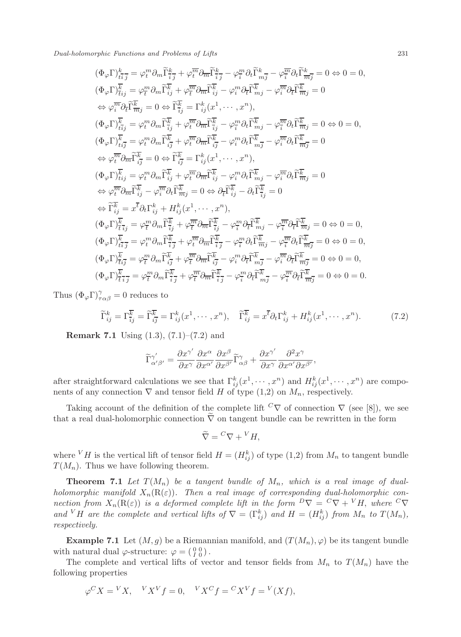Dual-holomorphic Functions and Problems of Lifts 231

$$
\begin{split}\label{eq:Phi_pI} (\Phi_{\varphi}\Gamma)^k_{\overline{ti}\,\overline{j}}&=\varphi^m_i\partial_m\widetilde{\Gamma}^k_{\overline{ij}}+\varphi^{\overline{m}}_{\overline{t}}\partial_m\widetilde{\Gamma}^k_{\overline{ij}}-\varphi^m_{\overline{t}}\partial_t\widetilde{\Gamma}^k_{\overline{m}\,\overline{j}}-\varphi^{\overline{m}}_{\overline{t}}\partial_t\widetilde{\Gamma}^k_{\overline{m}\,\overline{j}}=\partial\leftrightarrow 0=0,\\ (\Phi_{\varphi}\Gamma)^k_{\overline{ti}\,j}&=\varphi^m_i\partial_m\widetilde{\Gamma}^k_{\overline{ij}}+\varphi^{\overline{m}}_{\overline{t}}\partial_m\widetilde{\Gamma}^k_{\overline{ij}}-\varphi^m_i\partial_t\widetilde{\Gamma}^k_{\overline{m}\,j}-\varphi^{\overline{m}}_{\overline{t}}\partial_t\widetilde{\Gamma}^k_{\overline{m}\,j}=0\\ \Leftrightarrow \varphi^{\overline{m}}_{\overline{i}}\partial_{\overline{t}}\widetilde{\Gamma}^{\overline{k}}_{\overline{m}\,j}&=0\Leftrightarrow \widetilde{\Gamma}^{\overline{k}}_{\overline{i}\,j}=\Gamma^k_{ij}(x^1,\cdots,x^n),\\ (\Phi_{\varphi}\Gamma)^k_{\overline{ti}\,j}&=\varphi^m_i\partial_m\widetilde{\Gamma}^{\overline{k}}_{\overline{i}\,j}+\varphi^{\overline{m}}_{\overline{t}}\partial_m\widetilde{\Gamma}^{\overline{k}}_{\overline{i}\,j}-\varphi^m_{\overline{i}}\partial_t\widetilde{\Gamma}^{\overline{k}}_{\overline{m}\,j}-\varphi^{\overline{m}}_{\overline{i}}\partial_t\widetilde{\Gamma}^{\overline{k}}_{\overline{m}\,j}=0\Leftrightarrow 0=0,\\ (\Phi_{\varphi}\Gamma)^k_{\overline{ti}\,j}&=\varphi^m_i\partial_m\widetilde{\Gamma}^{\overline{k}}_{\overline{i}\,j}+\varphi^{\overline{m}}_{\overline{t}}\partial_m\widetilde{\Gamma}^{\overline{k}}_{\overline{i}\,j}-\varphi^m_{\overline{i}}\partial_t\widetilde{\Gamma}^{\overline{k}}_{\overline{m}\,j}-\varphi^{\overline{m}}_{\over
$$

Thus  $(\Phi_{\varphi} \Gamma)_{\tau \alpha \beta}^{\gamma} = 0$  reduces to

$$
\widetilde{\Gamma}_{ij}^k = \Gamma_{\overline{ij}}^{\overline{k}} = \widetilde{\Gamma}_{ij}^{\overline{k}} = \Gamma_{ij}^k (x^1, \cdots, x^n), \quad \widetilde{\Gamma}_{ij}^{\overline{k}} = x^{\overline{t}} \partial_t \Gamma_{ij}^k + H_{ij}^k (x^1, \cdots, x^n). \tag{7.2}
$$

**Remark 7.1** Using  $(1.3)$ ,  $(7.1)$ – $(7.2)$  and

$$
\widetilde{\Gamma}_{\alpha'\beta'}^{\gamma'}=\frac{\partial x^{\gamma'}}{\partial x^{\gamma}}\frac{\partial x^{\alpha}}{\partial x^{\alpha'}}\frac{\partial x^{\beta}}{\partial x^{\beta'}}\widetilde{\Gamma}_{\alpha\beta}^{\gamma}+\frac{\partial x^{\gamma'}}{\partial x^{\gamma}}\frac{\partial^2 x^{\gamma}}{\partial x^{\alpha'}\partial x^{\beta'}},
$$

after straightforward calculations we see that  $\Gamma_{ij}^k(x^1, \dots, x^n)$  and  $H_{ij}^k(x^1, \dots, x^n)$  are components of any connection  $\nabla$  and tensor field H of type (1,2) on  $M_n$ , respectively.

Taking account of the definition of the complete lift  ${}^C\nabla$  of connection  $\nabla$  (see [8]), we see that a real dual-holomorphic connection  $\tilde{\nabla}$  on tangent bundle can be rewritten in the form

$$
\widetilde{\nabla} = {}^C \nabla + {}^V H,
$$

where  $V$  H is the vertical lift of tensor field  $H = (H_{ij}^k)$  of type  $(1,2)$  from  $M_n$  to tangent bundle  $T(M_n)$ . Thus we have following theorem.

**Theorem 7.1** Let  $T(M_n)$  be a tangent bundle of  $M_n$ , which is a real image of dualholomorphic manifold  $X_n(R(\varepsilon))$ . Then a real image of corresponding dual-holomorphic connection from  $X_n(R(\varepsilon))$  is a deformed complete lift in the form  $D\nabla = C\nabla + VH$ , where  $C\nabla$ and <sup>V</sup>H are the complete and vertical lifts of  $\nabla = (\Gamma_{ij}^k)$  and  $H = (H_{ij}^k)$  from  $M_n$  to  $T(M_n)$ , respectively.

**Example 7.1** Let  $(M, g)$  be a Riemannian manifold, and  $(T(M_n), \varphi)$  be its tangent bundle with natural dual  $\varphi$ -structure:  $\varphi = \begin{pmatrix} 0 & 0 \\ I & 0 \end{pmatrix}$ .

The complete and vertical lifts of vector and tensor fields from  $M_n$  to  $T(M_n)$  have the following properties

$$
\varphi^C X = {}^V X, \quad {}^V X^V f = 0, \quad {}^V X^C f = {}^C X^V f = {}^V (X f),
$$